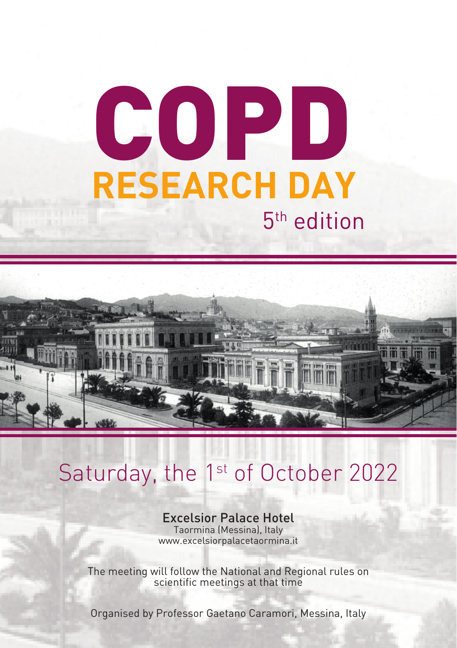# **RESEARCH DAY** COPD 5<sup>th</sup> edition



## Saturday, the 1<sup>st</sup> of October 2022

### Excelsior Palace Hotel

Taormina (Messina), Italy www.excelsiorpalacetaormina.it

The meeting will follow the National and Regional rules on scientific meetings at that time

Organised by Professor Gaetano Caramori, Messina, Italy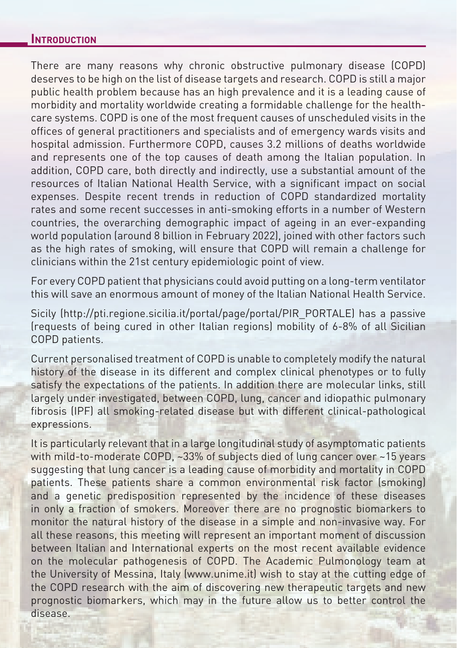#### **INTRODUCTION**

There are many reasons why chronic obstructive pulmonary disease (COPD) deserves to be high on the list of disease targets and research. COPD is still a major public health problem because has an high prevalence and it is a leading cause of morbidity and mortality worldwide creating a formidable challenge for the healthcare systems. COPD is one of the most frequent causes of unscheduled visits in the offices of general practitioners and specialists and of emergency wards visits and hospital admission. Furthermore COPD, causes 3.2 millions of deaths worldwide and represents one of the top causes of death among the Italian population. In addition, COPD care, both directly and indirectly, use a substantial amount of the resources of Italian National Health Service, with a significant impact on social expenses. Despite recent trends in reduction of COPD standardized mortality rates and some recent successes in anti-smoking efforts in a number of Western countries, the overarching demographic impact of ageing in an ever-expanding world population (around 8 billion in February 2022), joined with other factors such as the high rates of smoking, will ensure that COPD will remain a challenge for clinicians within the 21st century epidemiologic point of view.

For every COPD patient that physicians could avoid putting on a long-term ventilator this will save an enormous amount of money of the Italian National Health Service.

Sicily (http://pti.regione.sicilia.it/portal/page/portal/PIR\_PORTALE) has a passive (requests of being cured in other Italian regions) mobility of 6-8% of all Sicilian COPD patients.

Current personalised treatment of COPD is unable to completely modify the natural history of the disease in its different and complex clinical phenotypes or to fully satisfy the expectations of the patients. In addition there are molecular links, still largely under investigated, between COPD, lung, cancer and idiopathic pulmonary fibrosis (IPF) all smoking-related disease but with different clinical-pathological expressions.

It is particularly relevant that in a large longitudinal study of asymptomatic patients with mild-to-moderate COPD, ~33% of subjects died of lung cancer over ~15 years suggesting that lung cancer is a leading cause of morbidity and mortality in COPD patients. These patients share a common environmental risk factor (smoking) and a genetic predisposition represented by the incidence of these diseases in only a fraction of smokers. Moreover there are no prognostic biomarkers to monitor the natural history of the disease in a simple and non-invasive way. For all these reasons, this meeting will represent an important moment of discussion between Italian and International experts on the most recent available evidence on the molecular pathogenesis of COPD. The Academic Pulmonology team at the University of Messina, Italy (www.unime.it) wish to stay at the cutting edge of the COPD research with the aim of discovering new therapeutic targets and new prognostic biomarkers, which may in the future allow us to better control the disease.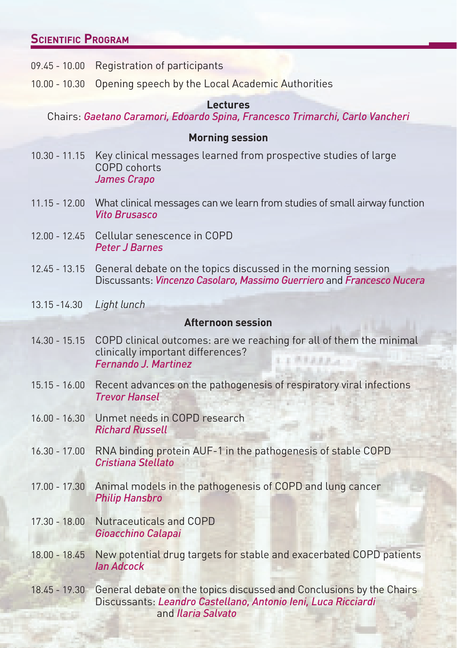#### **SCIENTIFIC PROGRAM**

- 09.45 10.00 Registration of participants
- 10.00 10.30 Opening speech by the Local Academic Authorities

#### **Lectures**

Chairs: *Gaetano Caramori, Edoardo Spina, Francesco Trimarchi, Carlo Vancheri*

#### **Morning session**

- 10.30 11.15 Key clinical messages learned from prospective studies of large COPD cohorts *James Crapo*
- 11.15 12.00 What clinical messages can we learn from studies of small airway function *Vito Brusasco*
- 12.00 12.45 Cellular senescence in COPD *Peter J Barnes*
- 12.45 13.15 General debate on the topics discussed in the morning session Discussants: *Vincenzo Casolaro, Massimo Guerriero* and *Francesco Nucera*
- 13.15 -14.30 *Light lunch*

#### **Afternoon session**

- 14.30 15.15 COPD clinical outcomes: are we reaching for all of them the minimal clinically important differences? 上海性皮炎とし *Fernando J. Martinez*
- 15.15 16.00 Recent advances on the pathogenesis of respiratory viral infections *Trevor Hansel*
- 16.00 16.30 Unmet needs in COPD research *Richard Russell*
- 16.30 17.00 RNA binding protein AUF-1 in the pathogenesis of stable COPD *Cristiana Stellato*
- 17.00 17.30 Animal models in the pathogenesis of COPD and lung cancer *Philip Hansbro*
- 17.30 18.00 Nutraceuticals and COPD *Gioacchino Calapai*
- 18.00 18.45 New potential drug targets for stable and exacerbated COPD patients *Ian Adcock*
- 18.45 19.30 General debate on the topics discussed and Conclusions by the Chairs Discussants: *Leandro Castellano, Antonio Ieni, Luca Ricciardi* and *Ilaria Salvato*